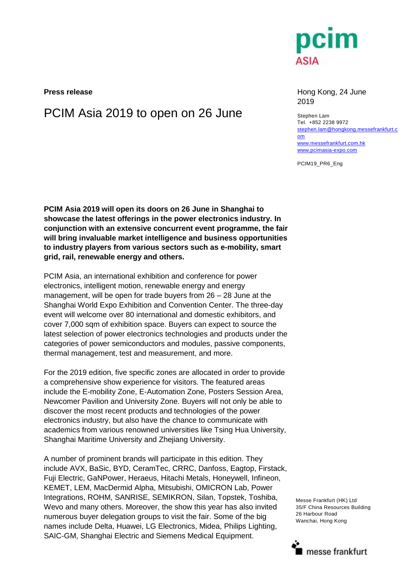

**Press release Hong Kong, 24 June** 2019

PCIM Asia 2019 to open on 26 June Stephen Lam Tel. +852 2238 9972 [stephen.lam@hongkong.messefrankfurt.c](mailto:stephen.lam@hongkong.messefrankfurt.com) [om](mailto:stephen.lam@hongkong.messefrankfurt.com) [www.messefrankfurt.com.hk](http://www.messefrankfurt.com.hk/) [www.pcimasia-expo.com](http://www.pcimasia-expo.com/)

PCIM19\_PR6\_Eng

**PCIM Asia 2019 will open its doors on 26 June in Shanghai to showcase the latest offerings in the power electronics industry. In conjunction with an extensive concurrent event programme, the fair will bring invaluable market intelligence and business opportunities to industry players from various sectors such as e-mobility, smart grid, rail, renewable energy and others.**

PCIM Asia, an international exhibition and conference for power electronics, intelligent motion, renewable energy and energy management, will be open for trade buyers from 26 – 28 June at the Shanghai World Expo Exhibition and Convention Center. The three-day event will welcome over 80 international and domestic exhibitors, and cover 7,000 sqm of exhibition space. Buyers can expect to source the latest selection of power electronics technologies and products under the categories of power semiconductors and modules, passive components, thermal management, test and measurement, and more.

For the 2019 edition, five specific zones are allocated in order to provide a comprehensive show experience for visitors. The featured areas include the E-mobility Zone, E-Automation Zone, Posters Session Area, Newcomer Pavilion and University Zone. Buyers will not only be able to discover the most recent products and technologies of the power electronics industry, but also have the chance to communicate with academics from various renowned universities like Tsing Hua University, Shanghai Maritime University and Zhejiang University.

A number of prominent brands will participate in this edition. They include AVX, BaSic, BYD, CeramTec, CRRC, Danfoss, Eagtop, Firstack, Fuji Electric, GaNPower, Heraeus, Hitachi Metals, Honeywell, Infineon, KEMET, LEM, MacDermid Alpha, Mitsubishi, OMICRON Lab, Power Integrations, ROHM, SANRISE, SEMIKRON, Silan, Topstek, Toshiba, Wevo and many others. Moreover, the show this year has also invited numerous buyer delegation groups to visit the fair. Some of the big names include Delta, Huawei, LG Electronics, Midea, Philips Lighting, SAIC-GM, Shanghai Electric and Siemens Medical Equipment.

Messe Frankfurt (HK) Ltd 35/F China Resources Building 26 Harbour Road Wanchai, Hong Kong